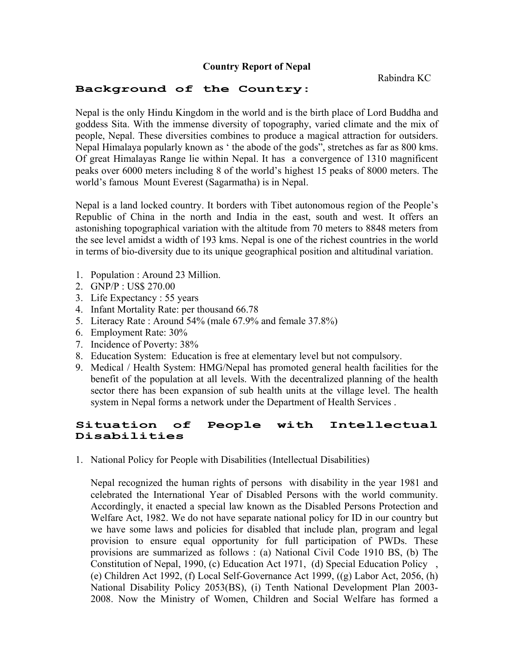## **Country Report of Nepal**

Rabindra KC

## **Background of the Country:**

Nepal is the only Hindu Kingdom in the world and is the birth place of Lord Buddha and goddess Sita. With the immense diversity of topography, varied climate and the mix of people, Nepal. These diversities combines to produce a magical attraction for outsiders. Nepal Himalaya popularly known as ' the abode of the gods", stretches as far as 800 kms. Of great Himalayas Range lie within Nepal. It has a convergence of 1310 magnificent peaks over 6000 meters including 8 of the world's highest 15 peaks of 8000 meters. The world's famous Mount Everest (Sagarmatha) is in Nepal.

Nepal is a land locked country. It borders with Tibet autonomous region of the People's Republic of China in the north and India in the east, south and west. It offers an astonishing topographical variation with the altitude from 70 meters to 8848 meters from the see level amidst a width of 193 kms. Nepal is one of the richest countries in the world in terms of bio-diversity due to its unique geographical position and altitudinal variation.

- 1. Population : Around 23 Million.
- 2. GNP/P : US\$ 270.00
- 3. Life Expectancy : 55 years
- 4. Infant Mortality Rate: per thousand 66.78
- 5. Literacy Rate : Around 54% (male 67.9% and female 37.8%)
- 6. Employment Rate: 30%
- 7. Incidence of Poverty: 38%
- 8. Education System: Education is free at elementary level but not compulsory.
- 9. Medical / Health System: HMG/Nepal has promoted general health facilities for the benefit of the population at all levels. With the decentralized planning of the health sector there has been expansion of sub health units at the village level. The health system in Nepal forms a network under the Department of Health Services .

## **Situation of People with Intellectual Disabilities**

1. National Policy for People with Disabilities (Intellectual Disabilities)

Nepal recognized the human rights of persons with disability in the year 1981 and celebrated the International Year of Disabled Persons with the world community. Accordingly, it enacted a special law known as the Disabled Persons Protection and Welfare Act, 1982. We do not have separate national policy for ID in our country but we have some laws and policies for disabled that include plan, program and legal provision to ensure equal opportunity for full participation of PWDs. These provisions are summarized as follows : (a) National Civil Code 1910 BS, (b) The Constitution of Nepal, 1990, (c) Education Act 1971, (d) Special Education Policy , (e) Children Act 1992, (f) Local Self-Governance Act 1999, ((g) Labor Act, 2056, (h) National Disability Policy 2053(BS), (i) Tenth National Development Plan 2003- 2008. Now the Ministry of Women, Children and Social Welfare has formed a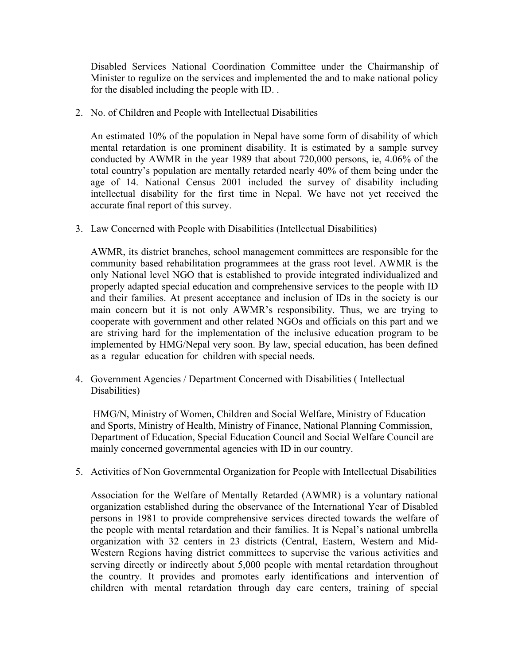Disabled Services National Coordination Committee under the Chairmanship of Minister to regulize on the services and implemented the and to make national policy for the disabled including the people with ID. .

2. No. of Children and People with Intellectual Disabilities

An estimated 10% of the population in Nepal have some form of disability of which mental retardation is one prominent disability. It is estimated by a sample survey conducted by AWMR in the year 1989 that about 720,000 persons, ie, 4.06% of the total country's population are mentally retarded nearly 40% of them being under the age of 14. National Census 2001 included the survey of disability including intellectual disability for the first time in Nepal. We have not yet received the accurate final report of this survey.

3. Law Concerned with People with Disabilities (Intellectual Disabilities)

AWMR, its district branches, school management committees are responsible for the community based rehabilitation programmees at the grass root level. AWMR is the only National level NGO that is established to provide integrated individualized and properly adapted special education and comprehensive services to the people with ID and their families. At present acceptance and inclusion of IDs in the society is our main concern but it is not only AWMR's responsibility. Thus, we are trying to cooperate with government and other related NGOs and officials on this part and we are striving hard for the implementation of the inclusive education program to be implemented by HMG/Nepal very soon. By law, special education, has been defined as a regular education for children with special needs.

4. Government Agencies / Department Concerned with Disabilities ( Intellectual Disabilities)

HMG/N, Ministry of Women, Children and Social Welfare, Ministry of Education and Sports, Ministry of Health, Ministry of Finance, National Planning Commission, Department of Education, Special Education Council and Social Welfare Council are mainly concerned governmental agencies with ID in our country.

5. Activities of Non Governmental Organization for People with Intellectual Disabilities

Association for the Welfare of Mentally Retarded (AWMR) is a voluntary national organization established during the observance of the International Year of Disabled persons in 1981 to provide comprehensive services directed towards the welfare of the people with mental retardation and their families. It is Nepal's national umbrella organization with 32 centers in 23 districts (Central, Eastern, Western and Mid-Western Regions having district committees to supervise the various activities and serving directly or indirectly about 5,000 people with mental retardation throughout the country. It provides and promotes early identifications and intervention of children with mental retardation through day care centers, training of special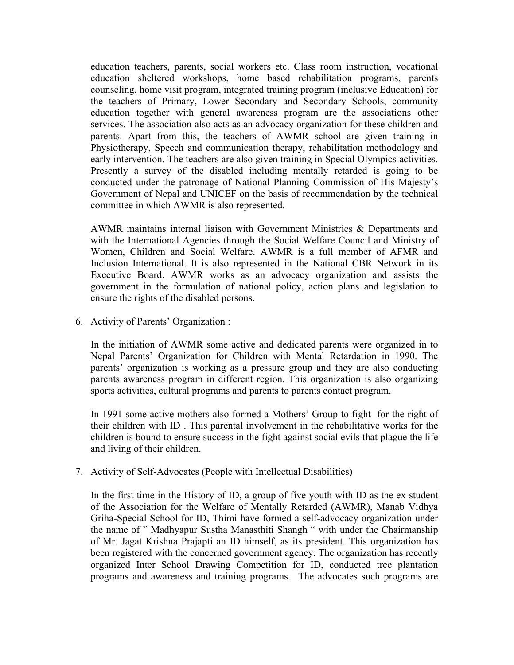education teachers, parents, social workers etc. Class room instruction, vocational education sheltered workshops, home based rehabilitation programs, parents counseling, home visit program, integrated training program (inclusive Education) for the teachers of Primary, Lower Secondary and Secondary Schools, community education together with general awareness program are the associations other services. The association also acts as an advocacy organization for these children and parents. Apart from this, the teachers of AWMR school are given training in Physiotherapy, Speech and communication therapy, rehabilitation methodology and early intervention. The teachers are also given training in Special Olympics activities. Presently a survey of the disabled including mentally retarded is going to be conducted under the patronage of National Planning Commission of His Majesty's Government of Nepal and UNICEF on the basis of recommendation by the technical committee in which AWMR is also represented.

AWMR maintains internal liaison with Government Ministries & Departments and with the International Agencies through the Social Welfare Council and Ministry of Women, Children and Social Welfare. AWMR is a full member of AFMR and Inclusion International. It is also represented in the National CBR Network in its Executive Board. AWMR works as an advocacy organization and assists the government in the formulation of national policy, action plans and legislation to ensure the rights of the disabled persons.

6. Activity of Parents' Organization :

In the initiation of AWMR some active and dedicated parents were organized in to Nepal Parents' Organization for Children with Mental Retardation in 1990. The parents' organization is working as a pressure group and they are also conducting parents awareness program in different region. This organization is also organizing sports activities, cultural programs and parents to parents contact program.

In 1991 some active mothers also formed a Mothers' Group to fight for the right of their children with ID . This parental involvement in the rehabilitative works for the children is bound to ensure success in the fight against social evils that plague the life and living of their children.

7. Activity of Self-Advocates (People with Intellectual Disabilities)

In the first time in the History of ID, a group of five youth with ID as the ex student of the Association for the Welfare of Mentally Retarded (AWMR), Manab Vidhya Griha-Special School for ID, Thimi have formed a self-advocacy organization under the name of " Madhyapur Sustha Manasthiti Shangh " with under the Chairmanship of Mr. Jagat Krishna Prajapti an ID himself, as its president. This organization has been registered with the concerned government agency. The organization has recently organized Inter School Drawing Competition for ID, conducted tree plantation programs and awareness and training programs. The advocates such programs are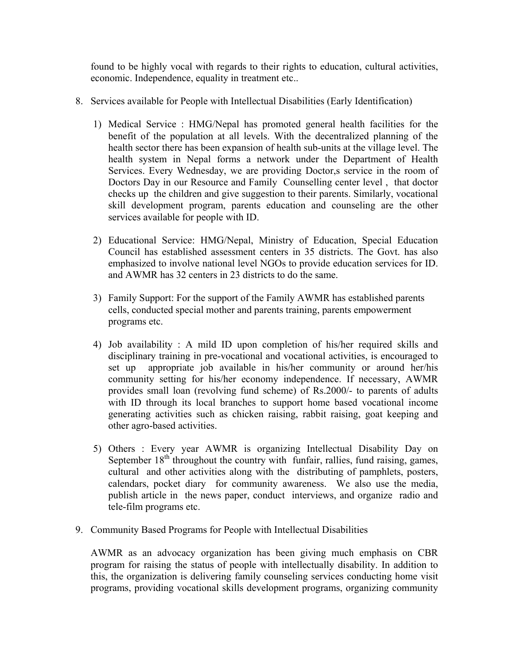found to be highly vocal with regards to their rights to education, cultural activities, economic. Independence, equality in treatment etc..

- 8. Services available for People with Intellectual Disabilities (Early Identification)
	- 1) Medical Service : HMG/Nepal has promoted general health facilities for the benefit of the population at all levels. With the decentralized planning of the health sector there has been expansion of health sub-units at the village level. The health system in Nepal forms a network under the Department of Health Services. Every Wednesday, we are providing Doctor,s service in the room of Doctors Day in our Resource and Family Counselling center level , that doctor checks up the children and give suggestion to their parents. Similarly, vocational skill development program, parents education and counseling are the other services available for people with ID.
	- 2) Educational Service: HMG/Nepal, Ministry of Education, Special Education Council has established assessment centers in 35 districts. The Govt. has also emphasized to involve national level NGOs to provide education services for ID. and AWMR has 32 centers in 23 districts to do the same.
	- 3) Family Support: For the support of the Family AWMR has established parents cells, conducted special mother and parents training, parents empowerment programs etc.
	- 4) Job availability : A mild ID upon completion of his/her required skills and disciplinary training in pre-vocational and vocational activities, is encouraged to set up appropriate job available in his/her community or around her/his community setting for his/her economy independence. If necessary, AWMR provides small loan (revolving fund scheme) of Rs.2000/- to parents of adults with ID through its local branches to support home based vocational income generating activities such as chicken raising, rabbit raising, goat keeping and other agro-based activities.
	- 5) Others : Every year AWMR is organizing Intellectual Disability Day on September 18<sup>th</sup> throughout the country with funfair, rallies, fund raising, games, cultural and other activities along with the distributing of pamphlets, posters, calendars, pocket diary for community awareness. We also use the media, publish article in the news paper, conduct interviews, and organize radio and tele-film programs etc.
- 9. Community Based Programs for People with Intellectual Disabilities

AWMR as an advocacy organization has been giving much emphasis on CBR program for raising the status of people with intellectually disability. In addition to this, the organization is delivering family counseling services conducting home visit programs, providing vocational skills development programs, organizing community